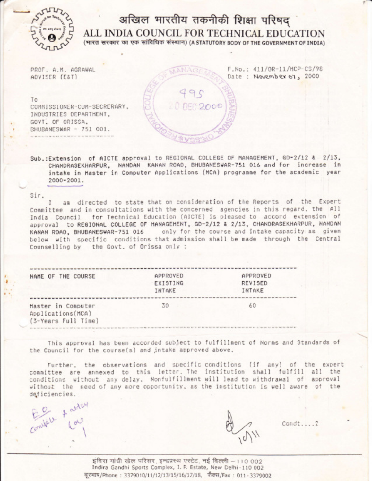

# अखिल भारतीय तकनीकी शिक्षा परिषद् ALL INDIA COUNCIL FOR TECHNICAL EDUCATION (भारत सरकार का एक सांविधिक संस्थान) (A STATUTORY BODY OF THE GOVERNMENT OF INDIA)

**JEC 2000** 

PROF. A.M. AGRAWAL ADVISER (E&T)

F.No.: 411/0R-11/MCP-CS/98 Date: November 07, 2000

To COMMISSIONER-CUM-SECRERARY. INDUSTRIES DEPARTMENT. GOVT. OF ORISSA. BHUBANESWAR - 751 001.

Sub.:Extension of AICTE approval to REGIONAL COLLEGE OF MANAGEMENT, GD-2/12 & 2/13, CHANDRASEKHARPUR, NANDAN KANAN ROAD, BHUBANESWAR-751 016 and for increase in intake in Master in Computer Applications (MCA) programme for the academic year 2000-2001.

#### Sir.

am directed to state that on consideration of the Reports of the Expert Committee and in consultations with the concerned agencies in this regard, the All India Council for Technical Education (AICTE) is pleased to accord extension of approval to REGIONAL COLLEGE OF MANAGEMENT, GD-2/12 & 2/13, CHANDRASEKHARPUR, NANDAN KANAN ROAD, BHUBANESWAR-751 016 only for the course and intake capacity as given below with specific conditions that admission shall be made through the Central Counselling by the Govt. of Orissa only :

| NAME OF THE COURSE  | APPROVED | APPROVED |
|---------------------|----------|----------|
|                     | EXISTING | REVISED  |
|                     | INTAKE   | INTAKE   |
|                     |          |          |
| Master in Computer  | 30       | 60       |
| Applications (MCA)  |          |          |
| (3-Years Full Time) |          |          |
|                     |          |          |

This approval has been accorded subject to fulfillment of Norms and Standards of the Council for the course(s) and intake approved above.

Further, the observations and specific conditions (if any) of the expert committee are annexed to this letter. The institution shall fulfill all the conditions without any delay. Nonfulfillment will lead to withdrawal of approval without the need of any more opportunity, as the institution is well aware of the deficiencies.

Combien & retail

Condt....2

इंदिरा गांधी खेल परिसर, इन्द्रप्रस्थ एस्टेट, नई दिल्ली - 110 002 Indira Gandhi Sports Complex, I. P. Estate, New Delhi-110 002 दूरभाष/Phone: 3379010/11/12/13/15/16/17/18, फैक्स/Fax: 011-3379002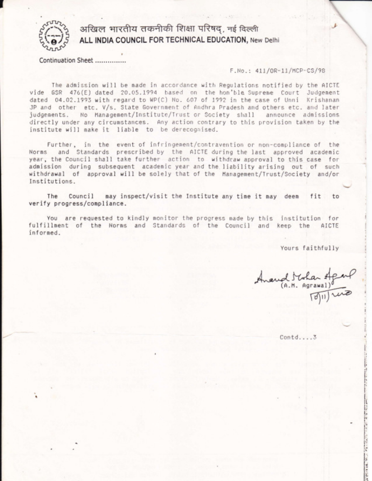

## अखिल भारतीय तकनीकी शिक्षा परिषद, नई दिल्ली ALL INDIA COUNCIL FOR TECHNICAL EDUCATION, New Delhi

Continuation Sheet ...............

#### F.No.: 411/0R-11/MCP-CS/98

The admission will be made in accordance with Regulations notified by the AICTE vide GSR 476(E) dated 20.05.1994 based on the hon'ble Supreme Court Judgement dated 04.02.1993 with regard to WP(C) No. 607 of 1992 in the case of Unni Krishanan JP and other etc. V/s. State Government of Andhra Pradesh and others etc. and later judgements. No Management/Institute/Trust or Society shall announce admissions directly under any circumstances. Any action contrary to this provision taken by the institute will make it liable to be derecognised.

Further, in the event of infringement/contravention or non-compliance of the Norms and Standards prescribed by the AICTE during the last approved academic year, the Council shall take further action to withdraw approval to this case for admission during subsequent academic year and the liability arising out of such withdrawal of approval will be solely that of the Management/Trust/Society and/or Institutions.

The Council may inspect/visit the Institute any time it may deem fit to verify progress/compliance.

You are requested to kindly monitor the progress made by this institution for fulfillment of the Norms and Standards of the Council and keep the AICTE informed.

Yours faithfully

Aneual Stohan Apart

 $Contd...3$ 

STROOM NO. WAS PAID TO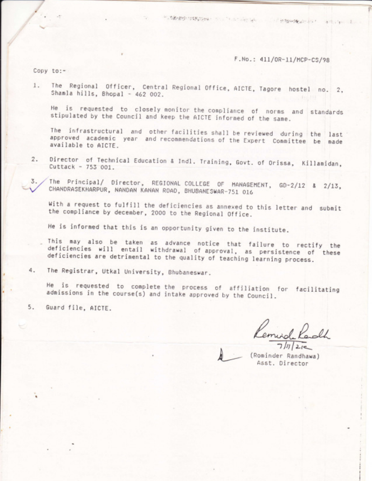### F.No.: 411/0R-11/MCP-CS/98

the through the prices of the control of the control of the control of the control of the control of the control of the control of the control of the control of the control of the control of the control of the control of t

Copy to:-

3.

The Regional Officer, Central Regional Office, AICTE, Tagore hostel no. 2, 1. Shamla hills, Bhopal - 462 002.

He is requested to closely monitor the compliance of norms and standards stipulated by the Council and keep the AICTE informed of the same.

The infrastructural and other facilities shall be reviewed during the last approved academic year and recommendations of the Expert Committee be made available to AICTE.

Director of Technical Education & Indl. Training, Govt. of Orissa, Killamidan,  $2.$ Cuttack - 753 001.

The Principal/ Director, REGIONAL COLLEGE OF MANAGEMENT, GD-2/12 & 2/13, CHANDRASEKHARPUR, NANDAN KANAN ROAD, BHUBANESWAR-751 016

With a request to fulfill the deficiencies as annexed to this letter and submit the compliance by december, 2000 to the Regional Office.

He is informed that this is an opportunity given to the institute.

This may also be taken as advance notice that failure to rectify the deficiencies will entail withdrawal of approval, as persistence of these deficiencies are detrimental to the quality of teaching learning process.

The Registrar, Utkal University, Bhubaneswar. 4.

He is requested to complete the process of affiliation for facilitating admissions in the course(s) and intake approved by the Council.

5. Guard file, AICTE.

(Rominder Randhawa) Asst. Director